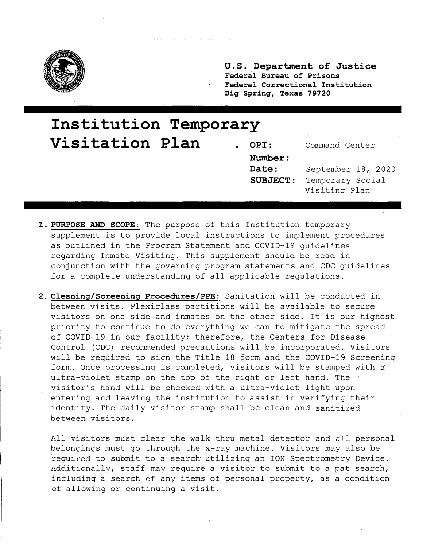

**U.S. Department of Justice Federal Bureau of Prisons Federal co'rrectional Institution Big Spring, Texas 79720** 

## **Institution Temporary Visitation Plan** " **OPI: Number: Date: SUBJECT:**  Command Center September 18, 2020 Temporary Social Visiting Plan

- **1. PURPOSE AND SCOPE:** The purpose of this Institution temporary supplement is to provide local instructions to implement procedures as outlined in the Program Statement and COVID-19 quidelines regarding Inmate Visiting. This supplement should be read in conjunction with the governing program statements and CDC quidelines for a complete understanding of all applicable regulations.
- **2. Cleaning/Screening Procedures/PPE:** Sanitation will be conducted in between visits. Plexiglass partitions will be available to secure visitors on one side and inmates on the other side. It is our highest priority to continue to do everything we can to mitigate the spread of COVID-19 in our facility; therefore, the Centers for Disease Control. (CDC) recommended precautions will be incorporated. Visitors will be required to sign the Title 18 form and the COVID-19 Screening form. Once processing is completed, visitors will be stamped with a ultra-violet stamp on the top of the right or left hand. The visitor's hand will be checked with a ultra-violet light upon entering and leaving the institution to assist in verifying their identity. The daily visitor stamp shall be clean and sanitized between visitors.

All visitors must clear the walk thru metal detector and all personal belongings must go through the x-ray machine. Visitors may also be required to submit to a search utilizing an ION Spectrometry Device. Additionally, staff may require a visitor to submit to a pat search, including a search of any items of personal property, as a condition of allowing or continuing a visit.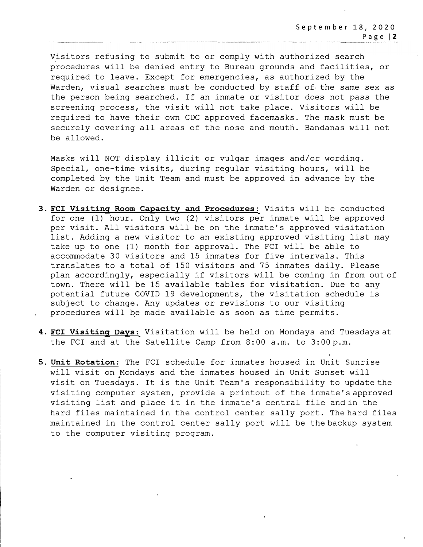Visitors refusing to submit to or comply with authorized search procedures will be denied entry to Bureau grounds and facilities, or required to leave. Except for emergencies, as authorized by the Warden, visual searches must be conducted by staff of the same sex as the person being searched. If an inmate or visitor does not pass the screening process, the visit will not take place. Visitors will be required to have their own CDC approved facemasks. The mask must be securely covering all areas of the nose and mouth. Bandanas will not be allowed.

Masks will NOT display illicit or vulgar images and/or wording. Special, one-time visits, during regular visiting hours, will be completed by the Unit Team and must be approved in advance by the Warden or designee.

- **3. FCI Visiting Room Capacity and Procedures:** Visits will be conducted for one (1) hour. Only two {2) visitors per inmate will be approved per visit. All visitors will be on the inmate's approved visitation list. Adding a new visitor to an existing approved visiting list may take up to one (1) month for approval. The FCI will be able to accommodate 30 visitors and 15 inmates for five intervals. This translates to a total of 150 visitors and 75 inmates daily. Please plan accordingly, especially if visitors will be coming in from out of town. There will be 15 available tables for visitation. Due to any potential future COVID 19 developments, the visitation schedule is subject to change. Any updates or revisions to our visiting procedures will �e made available as soon as time permits.
- **4. FCI Visiting Days:** Visitation will be held on Mondays and Tuesdays at the FCI and at the Satellite Camp from 8:00 a.m. to 3:00 p.m.
- **5. Unit Rotation:** The FCI schedule for inmates housed in Unit Sunrise will visit on Mondays and the inmates housed in Unit Sunset will visit on Tuesdays. It is the Unit Team's responsibility to update the visiting computer system, provide a printout of the inmate's approved visiting list and place it in the inmate's central file and in the hard files maintained in the control center sally port. The hard files maintained in the control center sally port will be the backup system to the computer visiting program.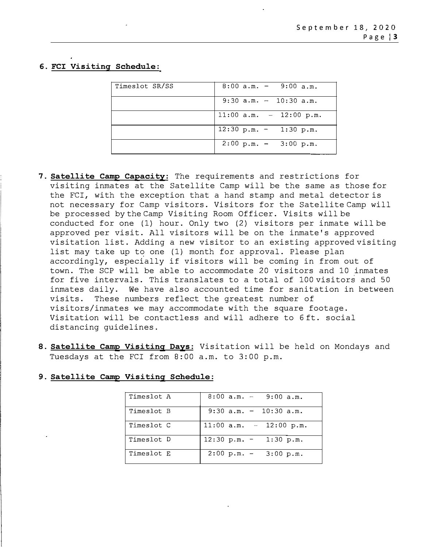## **6. FCI Visiting Schedule:**

| Timeslot SR/SS | $8:00$ a.m. $-$ 9:00 a.m.                |
|----------------|------------------------------------------|
|                | $9:30$ a.m. - 10:30 a.m.                 |
|                | $11:00$ a.m. - $12:00$ p.m.              |
|                | $12:30 \text{ p.m.} - 1:30 \text{ p.m.}$ |
|                | $2:00 \text{ p.m.} - 3:00 \text{ p.m.}$  |

- **7. Satellite Camp Capacity:** The requirements and restrictions for visiting inmates at the Satellite Camp will be the same as those for the FCI, with the exception that a hand stamp and metal detector is not necessary for Camp visitors. Visitors for the Satellite Camp will be processed by the Camp Visiting Room Officer. Visits will be conducted for one (1) hour. Only two (2) visitors per inmate will be approved per visit. All visitors will be on the inmate's approved visitation list. Adding a new visitor to an existing approved visiting list may take up to one (1) month for approval. Please plan accordingly, especially if visitors will be coming in from out of town. The SCP will be able to accommodate 20 visitors and 10 inmates for five intervals. This translates to a total of 100 visitors and 50 inmates daily. We have also accounted time for sanitation in between visits. These numbers reflect the greatest number of visitors/inmates we may accommodate with the square footage. Visitation will be contactless and will adhere to 6 ft. social distancing guidelines.
- **8. Satellite Camp Visiting Days:** Visitation will be held on Mondays and Tuesdays at the FCI from 8:00 a.m. to 3:00 p.m.

| Timeslot A | $8:00$ a.m. $-$ 9:00 a.m.                |
|------------|------------------------------------------|
| Timeslot B | $9:30$ a.m. - 10:30 a.m.                 |
| Timeslot C | $11:00$ a.m. $-$ 12:00 p.m.              |
| Timeslot D | $12:30 \text{ p.m.} - 1:30 \text{ p.m.}$ |
| Timeslot E | $2:00 \text{ p.m.} - 3:00 \text{ p.m.}$  |

## **9. Satellite Camp Visiting Schedule:**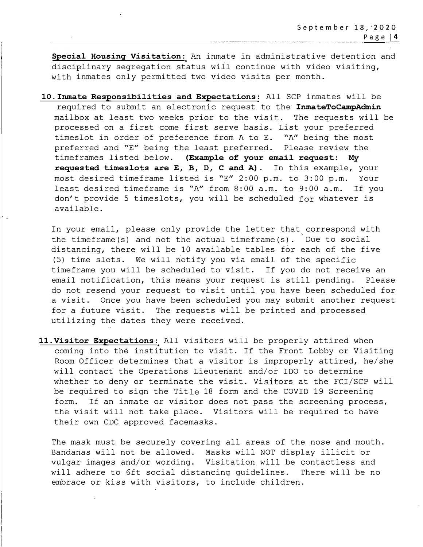**Special Housing Visitation:** An inmate in administrative detention and disciplinary segregation status wiil continue with video visiting, with inmates only permitted two video visits per month.

**10.Inmate Responsibilities and Expectations:** All SCP inmates will be required to submit an electronic request to the **IrunateToCampAdmin** mailbox at least two weeks prior to the visit. The requests will be processed on a first come first serve basis. List your preferred timeslot in order of preference from A to E. "A" being the most preferred and "E" being the least preferred. Please review the timeframes listed below. **(Example of your email request: My requested timeslots are E, B, D, C and A).** In this example, your most desired timeframe listed is "E" 2:00 p.m. to 3:00 p.m. Your least desired timeframe is "A" from 8:00 a.m. to 9:00 a.m. If you don't provide 5 timeslots, you will be scheduled for whatever is available.

In your email, please only provide the letter that correspond with the timeframe(s) and not the actual timeframe(s). Due to social distancing, there will be 10 available tables for each of the five (5) time slots. We will notify you via email of the specific timeframe you will be scheduled to visit. If you do not receive an email notification, this means your request is still pending. Please do not resend your request to visit until you have been scheduled for a visit. Once you have been scheduled you may submit another request for a future visit. The requests will be printed and processed utilizing the dates they were received.

**11.Visitor Expectations:** All visitors will be properly attired when coming into the institution to visit. If the Front Lobby or Visiting Room Officer determines that a visitor is improperly attired, he/she will contact the Operations Lieutenant and/or IDO to determine whether to deny or terminate the visit. Visitors at the FCI/SCP will be required to sign the Title 18 form and the COVID 19 Screening form. If an inmate or visitor does not pass the screening process, the visit will not take place. Visitors will be required to have their own CDC approved facemasks.

The mask must be securely covering all areas of the nose and mouth. Bandanas will not be allowed. Masks will NOT display illicit or vulgar images and/or wording. Visitation will be contactless and will adhere to 6ft social distancing quidelines. There will be no embrace or kiss with visitors, to include children.